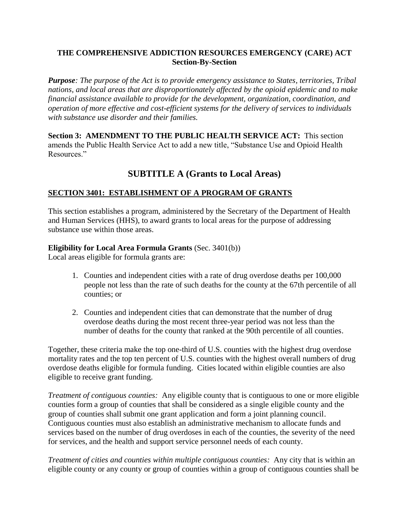## **THE COMPREHENSIVE ADDICTION RESOURCES EMERGENCY (CARE) ACT Section-By-Section**

*Purpose: The purpose of the Act is to provide emergency assistance to States, territories, Tribal nations, and local areas that are disproportionately affected by the opioid epidemic and to make financial assistance available to provide for the development, organization, coordination, and operation of more effective and cost-efficient systems for the delivery of services to individuals with substance use disorder and their families.*

**Section 3: AMENDMENT TO THE PUBLIC HEALTH SERVICE ACT:** This section amends the Public Health Service Act to add a new title, "Substance Use and Opioid Health Resources."

# **SUBTITLE A (Grants to Local Areas)**

## **SECTION 3401: ESTABLISHMENT OF A PROGRAM OF GRANTS**

This section establishes a program, administered by the Secretary of the Department of Health and Human Services (HHS), to award grants to local areas for the purpose of addressing substance use within those areas.

## **Eligibility for Local Area Formula Grants** (Sec. 3401(b))

Local areas eligible for formula grants are:

- 1. Counties and independent cities with a rate of drug overdose deaths per 100,000 people not less than the rate of such deaths for the county at the 67th percentile of all counties; or
- 2. Counties and independent cities that can demonstrate that the number of drug overdose deaths during the most recent three-year period was not less than the number of deaths for the county that ranked at the 90th percentile of all counties.

Together, these criteria make the top one-third of U.S. counties with the highest drug overdose mortality rates and the top ten percent of U.S. counties with the highest overall numbers of drug overdose deaths eligible for formula funding. Cities located within eligible counties are also eligible to receive grant funding.

*Treatment of contiguous counties:* Any eligible county that is contiguous to one or more eligible counties form a group of counties that shall be considered as a single eligible county and the group of counties shall submit one grant application and form a joint planning council. Contiguous counties must also establish an administrative mechanism to allocate funds and services based on the number of drug overdoses in each of the counties, the severity of the need for services, and the health and support service personnel needs of each county.

*Treatment of cities and counties within multiple contiguous counties:* Any city that is within an eligible county or any county or group of counties within a group of contiguous counties shall be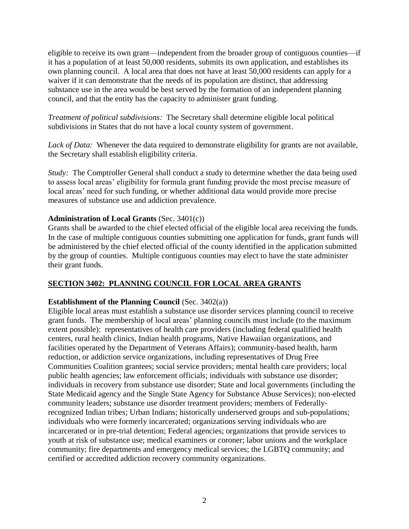eligible to receive its own grant—independent from the broader group of contiguous counties—if it has a population of at least 50,000 residents, submits its own application, and establishes its own planning council. A local area that does not have at least 50,000 residents can apply for a waiver if it can demonstrate that the needs of its population are distinct, that addressing substance use in the area would be best served by the formation of an independent planning council, and that the entity has the capacity to administer grant funding.

*Treatment of political subdivisions:* The Secretary shall determine eligible local political subdivisions in States that do not have a local county system of government.

Lack of Data: Whenever the data required to demonstrate eligibility for grants are not available, the Secretary shall establish eligibility criteria.

*Study*: The Comptroller General shall conduct a study to determine whether the data being used to assess local areas' eligibility for formula grant funding provide the most precise measure of local areas' need for such funding, or whether additional data would provide more precise measures of substance use and addiction prevalence.

#### **Administration of Local Grants** (Sec. 3401(c))

Grants shall be awarded to the chief elected official of the eligible local area receiving the funds. In the case of multiple contiguous counties submitting one application for funds, grant funds will be administered by the chief elected official of the county identified in the application submitted by the group of counties. Multiple contiguous counties may elect to have the state administer their grant funds.

## **SECTION 3402: PLANNING COUNCIL FOR LOCAL AREA GRANTS**

#### **Establishment of the Planning Council** (Sec. 3402(a))

Eligible local areas must establish a substance use disorder services planning council to receive grant funds. The membership of local areas' planning councils must include (to the maximum extent possible): representatives of health care providers (including federal qualified health centers, rural health clinics, Indian health programs, Native Hawaiian organizations, and facilities operated by the Department of Veterans Affairs); community-based health, harm reduction, or addiction service organizations, including representatives of Drug Free Communities Coalition grantees; social service providers; mental health care providers; local public health agencies; law enforcement officials; individuals with substance use disorder; individuals in recovery from substance use disorder; State and local governments (including the State Medicaid agency and the Single State Agency for Substance Abuse Services); non-elected community leaders; substance use disorder treatment providers; members of Federallyrecognized Indian tribes; Urban Indians; historically underserved groups and sub-populations; individuals who were formerly incarcerated; organizations serving individuals who are incarcerated or in pre-trial detention; Federal agencies; organizations that provide services to youth at risk of substance use; medical examiners or coroner; labor unions and the workplace community; fire departments and emergency medical services; the LGBTQ community; and certified or accredited addiction recovery community organizations.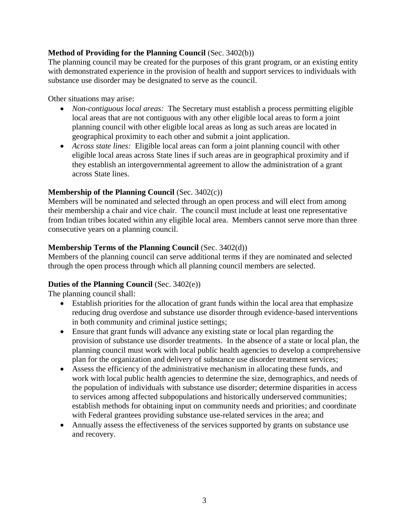## **Method of Providing for the Planning Council** (Sec. 3402(b))

The planning council may be created for the purposes of this grant program, or an existing entity with demonstrated experience in the provision of health and support services to individuals with substance use disorder may be designated to serve as the council.

Other situations may arise:

- *Non-contiguous local areas:* The Secretary must establish a process permitting eligible local areas that are not contiguous with any other eligible local areas to form a joint planning council with other eligible local areas as long as such areas are located in geographical proximity to each other and submit a joint application.
- *Across state lines:* Eligible local areas can form a joint planning council with other eligible local areas across State lines if such areas are in geographical proximity and if they establish an intergovernmental agreement to allow the administration of a grant across State lines.

## **Membership of the Planning Council** (Sec. 3402(c))

Members will be nominated and selected through an open process and will elect from among their membership a chair and vice chair. The council must include at least one representative from Indian tribes located within any eligible local area. Members cannot serve more than three consecutive years on a planning council.

## **Membership Terms of the Planning Council** (Sec. 3402(d))

Members of the planning council can serve additional terms if they are nominated and selected through the open process through which all planning council members are selected.

## **Duties of the Planning Council** (Sec. 3402(e))

The planning council shall:

- Establish priorities for the allocation of grant funds within the local area that emphasize reducing drug overdose and substance use disorder through evidence-based interventions in both community and criminal justice settings;
- Ensure that grant funds will advance any existing state or local plan regarding the provision of substance use disorder treatments. In the absence of a state or local plan, the planning council must work with local public health agencies to develop a comprehensive plan for the organization and delivery of substance use disorder treatment services;
- Assess the efficiency of the administrative mechanism in allocating these funds, and work with local public health agencies to determine the size, demographics, and needs of the population of individuals with substance use disorder; determine disparities in access to services among affected subpopulations and historically underserved communities; establish methods for obtaining input on community needs and priorities; and coordinate with Federal grantees providing substance use-related services in the area; and
- Annually assess the effectiveness of the services supported by grants on substance use and recovery.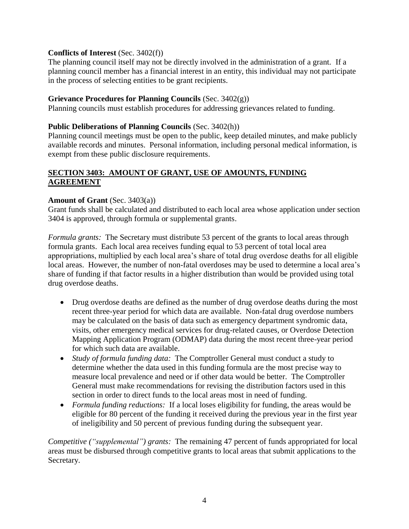#### **Conflicts of Interest** (Sec. 3402(f))

The planning council itself may not be directly involved in the administration of a grant. If a planning council member has a financial interest in an entity, this individual may not participate in the process of selecting entities to be grant recipients.

#### **Grievance Procedures for Planning Councils** (Sec. 3402(g))

Planning councils must establish procedures for addressing grievances related to funding.

#### **Public Deliberations of Planning Councils** (Sec. 3402(h))

Planning council meetings must be open to the public, keep detailed minutes, and make publicly available records and minutes. Personal information, including personal medical information, is exempt from these public disclosure requirements.

## **SECTION 3403: AMOUNT OF GRANT, USE OF AMOUNTS, FUNDING AGREEMENT**

#### **Amount of Grant** (Sec. 3403(a))

Grant funds shall be calculated and distributed to each local area whose application under section 3404 is approved, through formula or supplemental grants.

*Formula grants:* The Secretary must distribute 53 percent of the grants to local areas through formula grants. Each local area receives funding equal to 53 percent of total local area appropriations, multiplied by each local area's share of total drug overdose deaths for all eligible local areas. However, the number of non-fatal overdoses may be used to determine a local area's share of funding if that factor results in a higher distribution than would be provided using total drug overdose deaths.

- Drug overdose deaths are defined as the number of drug overdose deaths during the most recent three-year period for which data are available. Non-fatal drug overdose numbers may be calculated on the basis of data such as emergency department syndromic data, visits, other emergency medical services for drug-related causes, or Overdose Detection Mapping Application Program (ODMAP) data during the most recent three-year period for which such data are available.
- *Study of formula funding data:* The Comptroller General must conduct a study to determine whether the data used in this funding formula are the most precise way to measure local prevalence and need or if other data would be better. The Comptroller General must make recommendations for revising the distribution factors used in this section in order to direct funds to the local areas most in need of funding.
- *Formula funding reductions:* If a local loses eligibility for funding, the areas would be eligible for 80 percent of the funding it received during the previous year in the first year of ineligibility and 50 percent of previous funding during the subsequent year.

*Competitive ("supplemental") grants:* The remaining 47 percent of funds appropriated for local areas must be disbursed through competitive grants to local areas that submit applications to the Secretary.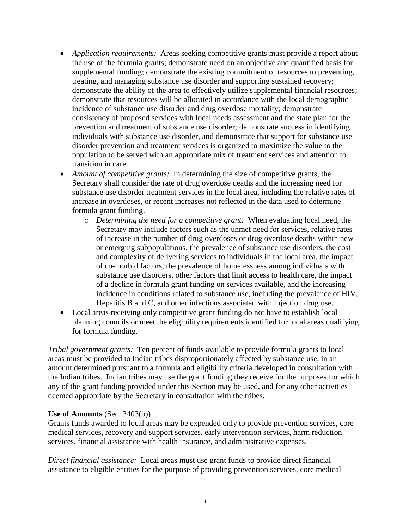- *Application requirements:* Areas seeking competitive grants must provide a report about the use of the formula grants; demonstrate need on an objective and quantified basis for supplemental funding; demonstrate the existing commitment of resources to preventing, treating, and managing substance use disorder and supporting sustained recovery; demonstrate the ability of the area to effectively utilize supplemental financial resources; demonstrate that resources will be allocated in accordance with the local demographic incidence of substance use disorder and drug overdose mortality; demonstrate consistency of proposed services with local needs assessment and the state plan for the prevention and treatment of substance use disorder; demonstrate success in identifying individuals with substance use disorder, and demonstrate that support for substance use disorder prevention and treatment services is organized to maximize the value to the population to be served with an appropriate mix of treatment services and attention to transition in care.
- *Amount of competitive grants:* In determining the size of competitive grants, the Secretary shall consider the rate of drug overdose deaths and the increasing need for substance use disorder treatment services in the local area, including the relative rates of increase in overdoses, or recent increases not reflected in the data used to determine formula grant funding.
	- o *Determining the need for a competitive grant:* When evaluating local need, the Secretary may include factors such as the unmet need for services, relative rates of increase in the number of drug overdoses or drug overdose deaths within new or emerging subpopulations, the prevalence of substance use disorders, the cost and complexity of delivering services to individuals in the local area, the impact of co-morbid factors, the prevalence of homelessness among individuals with substance use disorders, other factors that limit access to health care, the impact of a decline in formula grant funding on services available, and the increasing incidence in conditions related to substance use, including the prevalence of HIV, Hepatitis B and C, and other infections associated with injection drug use.
- Local areas receiving only competitive grant funding do not have to establish local planning councils or meet the eligibility requirements identified for local areas qualifying for formula funding.

*Tribal government grants:* Ten percent of funds available to provide formula grants to local areas must be provided to Indian tribes disproportionately affected by substance use, in an amount determined pursuant to a formula and eligibility criteria developed in consultation with the Indian tribes. Indian tribes may use the grant funding they receive for the purposes for which any of the grant funding provided under this Section may be used, and for any other activities deemed appropriate by the Secretary in consultation with the tribes.

#### **Use of Amounts** (Sec. 3403(b))

Grants funds awarded to local areas may be expended only to provide prevention services, core medical services, recovery and support services, early intervention services, harm reduction services, financial assistance with health insurance, and administrative expenses.

*Direct financial assistance:* Local areas must use grant funds to provide direct financial assistance to eligible entities for the purpose of providing prevention services, core medical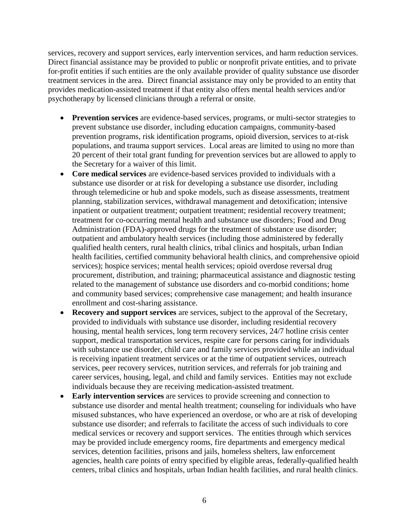services, recovery and support services, early intervention services, and harm reduction services. Direct financial assistance may be provided to public or nonprofit private entities, and to private for-profit entities if such entities are the only available provider of quality substance use disorder treatment services in the area. Direct financial assistance may only be provided to an entity that provides medication-assisted treatment if that entity also offers mental health services and/or psychotherapy by licensed clinicians through a referral or onsite.

- **Prevention services** are evidence-based services, programs, or multi-sector strategies to prevent substance use disorder, including education campaigns, community-based prevention programs, risk identification programs, opioid diversion, services to at-risk populations, and trauma support services. Local areas are limited to using no more than 20 percent of their total grant funding for prevention services but are allowed to apply to the Secretary for a waiver of this limit.
- **Core medical services** are evidence-based services provided to individuals with a substance use disorder or at risk for developing a substance use disorder, including through telemedicine or hub and spoke models, such as disease assessments, treatment planning, stabilization services, withdrawal management and detoxification; intensive inpatient or outpatient treatment; outpatient treatment; residential recovery treatment; treatment for co-occurring mental health and substance use disorders; Food and Drug Administration (FDA)-approved drugs for the treatment of substance use disorder; outpatient and ambulatory health services (including those administered by federally qualified health centers, rural health clinics, tribal clinics and hospitals, urban Indian health facilities, certified community behavioral health clinics, and comprehensive opioid services); hospice services; mental health services; opioid overdose reversal drug procurement, distribution, and training; pharmaceutical assistance and diagnostic testing related to the management of substance use disorders and co-morbid conditions; home and community based services; comprehensive case management; and health insurance enrollment and cost-sharing assistance.
- **Recovery and support services** are services, subject to the approval of the Secretary, provided to individuals with substance use disorder, including residential recovery housing, mental health services, long term recovery services, 24/7 hotline crisis center support, medical transportation services, respite care for persons caring for individuals with substance use disorder, child care and family services provided while an individual is receiving inpatient treatment services or at the time of outpatient services, outreach services, peer recovery services, nutrition services, and referrals for job training and career services, housing, legal, and child and family services. Entities may not exclude individuals because they are receiving medication-assisted treatment.
- **Early intervention services** are services to provide screening and connection to substance use disorder and mental health treatment; counseling for individuals who have misused substances, who have experienced an overdose, or who are at risk of developing substance use disorder; and referrals to facilitate the access of such individuals to core medical services or recovery and support services. The entities through which services may be provided include emergency rooms, fire departments and emergency medical services, detention facilities, prisons and jails, homeless shelters, law enforcement agencies, health care points of entry specified by eligible areas, federally-qualified health centers, tribal clinics and hospitals, urban Indian health facilities, and rural health clinics.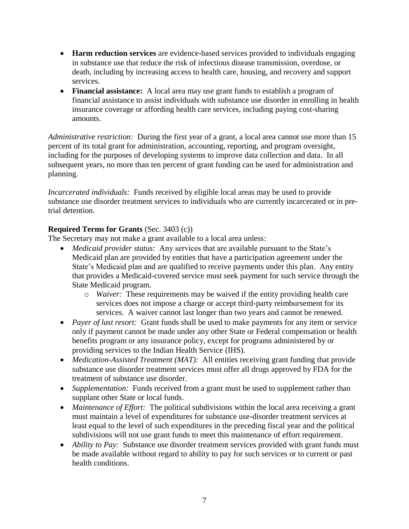- **Harm reduction services** are evidence-based services provided to individuals engaging in substance use that reduce the risk of infectious disease transmission, overdose, or death, including by increasing access to health care, housing, and recovery and support services.
- **Financial assistance:** A local area may use grant funds to establish a program of financial assistance to assist individuals with substance use disorder in enrolling in health insurance coverage or affording health care services, including paying cost-sharing amounts.

*Administrative restriction:* During the first year of a grant, a local area cannot use more than 15 percent of its total grant for administration, accounting, reporting, and program oversight, including for the purposes of developing systems to improve data collection and data. In all subsequent years, no more than ten percent of grant funding can be used for administration and planning.

*Incarcerated individuals:* Funds received by eligible local areas may be used to provide substance use disorder treatment services to individuals who are currently incarcerated or in pretrial detention.

## **Required Terms for Grants** (Sec. 3403 (c))

The Secretary may not make a grant available to a local area unless:

- *Medicaid provider status:* Any services that are available pursuant to the State's Medicaid plan are provided by entities that have a participation agreement under the State's Medicaid plan and are qualified to receive payments under this plan. Any entity that provides a Medicaid-covered service must seek payment for such service through the State Medicaid program.
	- o *Waiver:* These requirements may be waived if the entity providing health care services does not impose a charge or accept third-party reimbursement for its services. A waiver cannot last longer than two years and cannot be renewed.
- *Payer of last resort:* Grant funds shall be used to make payments for any item or service only if payment cannot be made under any other State or Federal compensation or health benefits program or any insurance policy, except for programs administered by or providing services to the Indian Health Service (IHS).
- *Medication-Assisted Treatment (MAT):* All entities receiving grant funding that provide substance use disorder treatment services must offer all drugs approved by FDA for the treatment of substance use disorder.
- *Supplementation:* Funds received from a grant must be used to supplement rather than supplant other State or local funds.
- *Maintenance of Effort:* The political subdivisions within the local area receiving a grant must maintain a level of expenditures for substance use-disorder treatment services at least equal to the level of such expenditures in the preceding fiscal year and the political subdivisions will not use grant funds to meet this maintenance of effort requirement.
- *Ability to Pay:* Substance use disorder treatment services provided with grant funds must be made available without regard to ability to pay for such services or to current or past health conditions.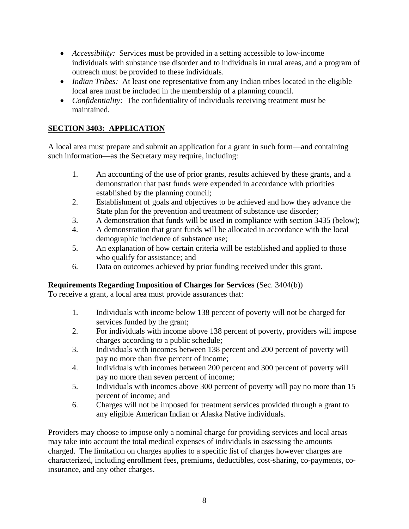- *Accessibility:* Services must be provided in a setting accessible to low-income individuals with substance use disorder and to individuals in rural areas, and a program of outreach must be provided to these individuals.
- *Indian Tribes:* At least one representative from any Indian tribes located in the eligible local area must be included in the membership of a planning council.
- *Confidentiality:* The confidentiality of individuals receiving treatment must be maintained.

# **SECTION 3403: APPLICATION**

A local area must prepare and submit an application for a grant in such form—and containing such information—as the Secretary may require, including:

- 1. An accounting of the use of prior grants, results achieved by these grants, and a demonstration that past funds were expended in accordance with priorities established by the planning council;
- 2. Establishment of goals and objectives to be achieved and how they advance the State plan for the prevention and treatment of substance use disorder;
- 3. A demonstration that funds will be used in compliance with section 3435 (below);
- 4. A demonstration that grant funds will be allocated in accordance with the local demographic incidence of substance use;
- 5. An explanation of how certain criteria will be established and applied to those who qualify for assistance; and
- 6. Data on outcomes achieved by prior funding received under this grant.

# **Requirements Regarding Imposition of Charges for Services** (Sec. 3404(b))

To receive a grant, a local area must provide assurances that:

- 1. Individuals with income below 138 percent of poverty will not be charged for services funded by the grant;
- 2. For individuals with income above 138 percent of poverty, providers will impose charges according to a public schedule;
- 3. Individuals with incomes between 138 percent and 200 percent of poverty will pay no more than five percent of income;
- 4. Individuals with incomes between 200 percent and 300 percent of poverty will pay no more than seven percent of income;
- 5. Individuals with incomes above 300 percent of poverty will pay no more than 15 percent of income; and
- 6. Charges will not be imposed for treatment services provided through a grant to any eligible American Indian or Alaska Native individuals.

Providers may choose to impose only a nominal charge for providing services and local areas may take into account the total medical expenses of individuals in assessing the amounts charged. The limitation on charges applies to a specific list of charges however charges are characterized, including enrollment fees, premiums, deductibles, cost-sharing, co-payments, coinsurance, and any other charges.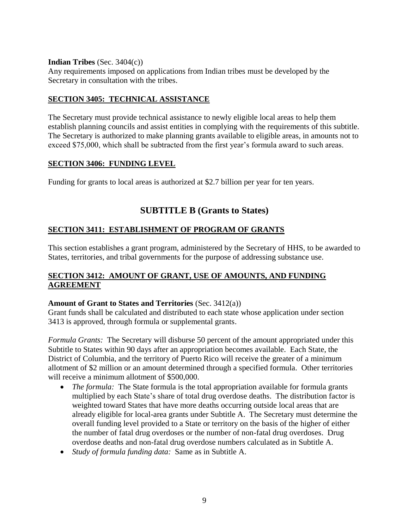#### **Indian Tribes** (Sec. 3404(c))

Any requirements imposed on applications from Indian tribes must be developed by the Secretary in consultation with the tribes.

## **SECTION 3405: TECHNICAL ASSISTANCE**

The Secretary must provide technical assistance to newly eligible local areas to help them establish planning councils and assist entities in complying with the requirements of this subtitle. The Secretary is authorized to make planning grants available to eligible areas, in amounts not to exceed \$75,000, which shall be subtracted from the first year's formula award to such areas.

## **SECTION 3406: FUNDING LEVEL**

Funding for grants to local areas is authorized at \$2.7 billion per year for ten years.

# **SUBTITLE B (Grants to States)**

## **SECTION 3411: ESTABLISHMENT OF PROGRAM OF GRANTS**

This section establishes a grant program, administered by the Secretary of HHS, to be awarded to States, territories, and tribal governments for the purpose of addressing substance use.

## **SECTION 3412: AMOUNT OF GRANT, USE OF AMOUNTS, AND FUNDING AGREEMENT**

#### **Amount of Grant to States and Territories** (Sec. 3412(a))

Grant funds shall be calculated and distributed to each state whose application under section 3413 is approved, through formula or supplemental grants.

*Formula Grants:* The Secretary will disburse 50 percent of the amount appropriated under this Subtitle to States within 90 days after an appropriation becomes available. Each State, the District of Columbia, and the territory of Puerto Rico will receive the greater of a minimum allotment of \$2 million or an amount determined through a specified formula. Other territories will receive a minimum allotment of \$500,000.

- *The formula:* The State formula is the total appropriation available for formula grants multiplied by each State's share of total drug overdose deaths. The distribution factor is weighted toward States that have more deaths occurring outside local areas that are already eligible for local-area grants under Subtitle A. The Secretary must determine the overall funding level provided to a State or territory on the basis of the higher of either the number of fatal drug overdoses or the number of non-fatal drug overdoses. Drug overdose deaths and non-fatal drug overdose numbers calculated as in Subtitle A.
- *Study of formula funding data:* Same as in Subtitle A.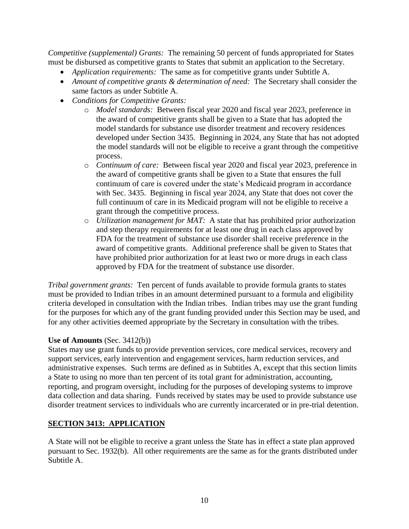*Competitive (supplemental) Grants:* The remaining 50 percent of funds appropriated for States must be disbursed as competitive grants to States that submit an application to the Secretary.

- *Application requirements:* The same as for competitive grants under Subtitle A.
- *Amount of competitive grants & determination of need:* The Secretary shall consider the same factors as under Subtitle A.
- *Conditions for Competitive Grants:*
	- o *Model standards:* Between fiscal year 2020 and fiscal year 2023, preference in the award of competitive grants shall be given to a State that has adopted the model standards for substance use disorder treatment and recovery residences developed under Section 3435. Beginning in 2024, any State that has not adopted the model standards will not be eligible to receive a grant through the competitive process.
	- o *Continuum of care:* Between fiscal year 2020 and fiscal year 2023, preference in the award of competitive grants shall be given to a State that ensures the full continuum of care is covered under the state's Medicaid program in accordance with Sec. 3435. Beginning in fiscal year 2024, any State that does not cover the full continuum of care in its Medicaid program will not be eligible to receive a grant through the competitive process.
	- o *Utilization management for MAT:* A state that has prohibited prior authorization and step therapy requirements for at least one drug in each class approved by FDA for the treatment of substance use disorder shall receive preference in the award of competitive grants. Additional preference shall be given to States that have prohibited prior authorization for at least two or more drugs in each class approved by FDA for the treatment of substance use disorder.

*Tribal government grants:* Ten percent of funds available to provide formula grants to states must be provided to Indian tribes in an amount determined pursuant to a formula and eligibility criteria developed in consultation with the Indian tribes. Indian tribes may use the grant funding for the purposes for which any of the grant funding provided under this Section may be used, and for any other activities deemed appropriate by the Secretary in consultation with the tribes.

#### **Use of Amounts** (Sec. 3412(b))

States may use grant funds to provide prevention services, core medical services, recovery and support services, early intervention and engagement services, harm reduction services, and administrative expenses. Such terms are defined as in Subtitles A, except that this section limits a State to using no more than ten percent of its total grant for administration, accounting, reporting, and program oversight, including for the purposes of developing systems to improve data collection and data sharing. Funds received by states may be used to provide substance use disorder treatment services to individuals who are currently incarcerated or in pre-trial detention.

## **SECTION 3413: APPLICATION**

A State will not be eligible to receive a grant unless the State has in effect a state plan approved pursuant to Sec. 1932(b). All other requirements are the same as for the grants distributed under Subtitle A.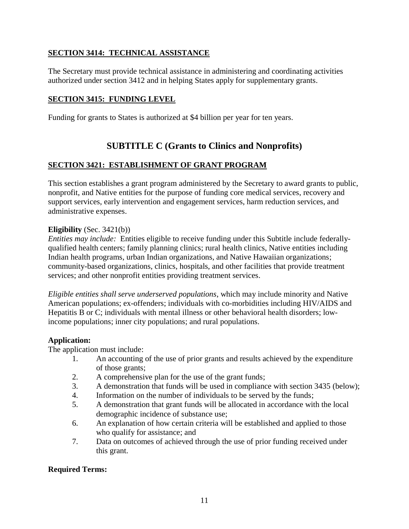## **SECTION 3414: TECHNICAL ASSISTANCE**

The Secretary must provide technical assistance in administering and coordinating activities authorized under section 3412 and in helping States apply for supplementary grants.

## **SECTION 3415: FUNDING LEVEL**

Funding for grants to States is authorized at \$4 billion per year for ten years.

# **SUBTITLE C (Grants to Clinics and Nonprofits)**

## **SECTION 3421: ESTABLISHMENT OF GRANT PROGRAM**

This section establishes a grant program administered by the Secretary to award grants to public, nonprofit, and Native entities for the purpose of funding core medical services, recovery and support services, early intervention and engagement services, harm reduction services, and administrative expenses.

## **Eligibility** (Sec. 3421(b))

*Entities may include:* Entities eligible to receive funding under this Subtitle include federallyqualified health centers; family planning clinics; rural health clinics, Native entities including Indian health programs, urban Indian organizations, and Native Hawaiian organizations; community-based organizations, clinics, hospitals, and other facilities that provide treatment services; and other nonprofit entities providing treatment services.

*Eligible entities shall serve underserved populations*, which may include minority and Native American populations; ex-offenders; individuals with co-morbidities including HIV/AIDS and Hepatitis B or C; individuals with mental illness or other behavioral health disorders; lowincome populations; inner city populations; and rural populations.

## **Application:**

The application must include:

- 1. An accounting of the use of prior grants and results achieved by the expenditure of those grants;
- 2. A comprehensive plan for the use of the grant funds;
- 3. A demonstration that funds will be used in compliance with section 3435 (below);
- 4. Information on the number of individuals to be served by the funds;
- 5. A demonstration that grant funds will be allocated in accordance with the local demographic incidence of substance use;
- 6. An explanation of how certain criteria will be established and applied to those who qualify for assistance; and
- 7. Data on outcomes of achieved through the use of prior funding received under this grant.

## **Required Terms:**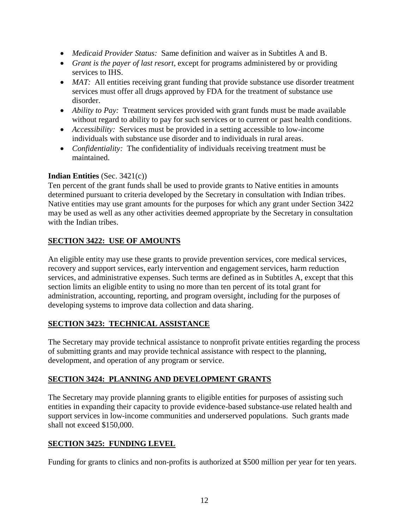- *Medicaid Provider Status:* Same definition and waiver as in Subtitles A and B.
- *Grant is the payer of last resort*, except for programs administered by or providing services to IHS.
- *MAT*: All entities receiving grant funding that provide substance use disorder treatment services must offer all drugs approved by FDA for the treatment of substance use disorder.
- *Ability to Pay:* Treatment services provided with grant funds must be made available without regard to ability to pay for such services or to current or past health conditions.
- *Accessibility:* Services must be provided in a setting accessible to low-income individuals with substance use disorder and to individuals in rural areas.
- *Confidentiality:* The confidentiality of individuals receiving treatment must be maintained.

## **Indian Entities** (Sec. 3421(c))

Ten percent of the grant funds shall be used to provide grants to Native entities in amounts determined pursuant to criteria developed by the Secretary in consultation with Indian tribes. Native entities may use grant amounts for the purposes for which any grant under Section 3422 may be used as well as any other activities deemed appropriate by the Secretary in consultation with the Indian tribes.

# **SECTION 3422: USE OF AMOUNTS**

An eligible entity may use these grants to provide prevention services, core medical services, recovery and support services, early intervention and engagement services, harm reduction services, and administrative expenses. Such terms are defined as in Subtitles A, except that this section limits an eligible entity to using no more than ten percent of its total grant for administration, accounting, reporting, and program oversight, including for the purposes of developing systems to improve data collection and data sharing.

# **SECTION 3423: TECHNICAL ASSISTANCE**

The Secretary may provide technical assistance to nonprofit private entities regarding the process of submitting grants and may provide technical assistance with respect to the planning, development, and operation of any program or service.

# **SECTION 3424: PLANNING AND DEVELOPMENT GRANTS**

The Secretary may provide planning grants to eligible entities for purposes of assisting such entities in expanding their capacity to provide evidence-based substance-use related health and support services in low-income communities and underserved populations. Such grants made shall not exceed \$150,000.

# **SECTION 3425: FUNDING LEVEL**

Funding for grants to clinics and non-profits is authorized at \$500 million per year for ten years.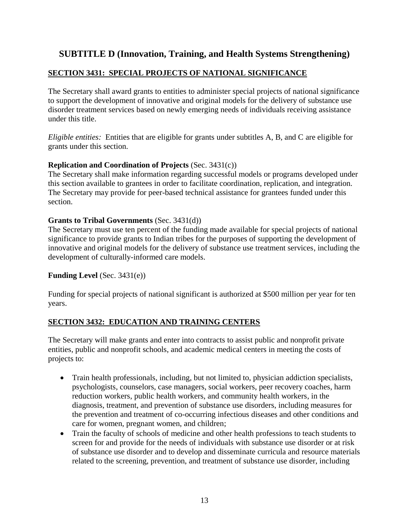# **SUBTITLE D (Innovation, Training, and Health Systems Strengthening)**

## **SECTION 3431: SPECIAL PROJECTS OF NATIONAL SIGNIFICANCE**

The Secretary shall award grants to entities to administer special projects of national significance to support the development of innovative and original models for the delivery of substance use disorder treatment services based on newly emerging needs of individuals receiving assistance under this title.

*Eligible entities:* Entities that are eligible for grants under subtitles A, B, and C are eligible for grants under this section.

## **Replication and Coordination of Projects** (Sec. 3431(c))

The Secretary shall make information regarding successful models or programs developed under this section available to grantees in order to facilitate coordination, replication, and integration. The Secretary may provide for peer-based technical assistance for grantees funded under this section.

#### **Grants to Tribal Governments** (Sec. 3431(d))

The Secretary must use ten percent of the funding made available for special projects of national significance to provide grants to Indian tribes for the purposes of supporting the development of innovative and original models for the delivery of substance use treatment services, including the development of culturally-informed care models.

## **Funding Level** (Sec. 3431(e))

Funding for special projects of national significant is authorized at \$500 million per year for ten years.

## **SECTION 3432: EDUCATION AND TRAINING CENTERS**

The Secretary will make grants and enter into contracts to assist public and nonprofit private entities, public and nonprofit schools, and academic medical centers in meeting the costs of projects to:

- Train health professionals, including, but not limited to, physician addiction specialists, psychologists, counselors, case managers, social workers, peer recovery coaches, harm reduction workers, public health workers, and community health workers, in the diagnosis, treatment, and prevention of substance use disorders, including measures for the prevention and treatment of co-occurring infectious diseases and other conditions and care for women, pregnant women, and children;
- Train the faculty of schools of medicine and other health professions to teach students to screen for and provide for the needs of individuals with substance use disorder or at risk of substance use disorder and to develop and disseminate curricula and resource materials related to the screening, prevention, and treatment of substance use disorder, including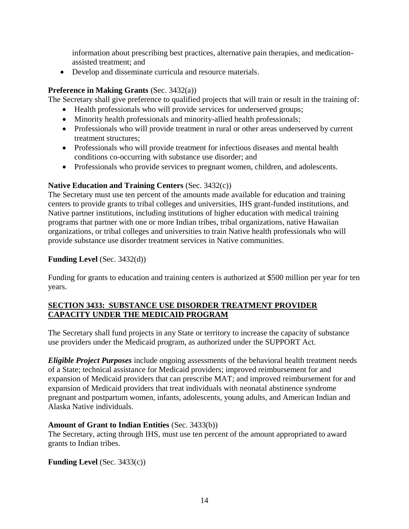information about prescribing best practices, alternative pain therapies, and medicationassisted treatment; and

Develop and disseminate curricula and resource materials.

## **Preference in Making Grants** (Sec. 3432(a))

The Secretary shall give preference to qualified projects that will train or result in the training of:

- Health professionals who will provide services for underserved groups;
- Minority health professionals and minority-allied health professionals;
- Professionals who will provide treatment in rural or other areas underserved by current treatment structures;
- Professionals who will provide treatment for infectious diseases and mental health conditions co-occurring with substance use disorder; and
- Professionals who provide services to pregnant women, children, and adolescents.

## **Native Education and Training Centers** (Sec. 3432(c))

The Secretary must use ten percent of the amounts made available for education and training centers to provide grants to tribal colleges and universities, IHS grant-funded institutions, and Native partner institutions, including institutions of higher education with medical training programs that partner with one or more Indian tribes, tribal organizations, native Hawaiian organizations, or tribal colleges and universities to train Native health professionals who will provide substance use disorder treatment services in Native communities.

# **Funding Level** (Sec. 3432(d))

Funding for grants to education and training centers is authorized at \$500 million per year for ten years.

## **SECTION 3433: SUBSTANCE USE DISORDER TREATMENT PROVIDER CAPACITY UNDER THE MEDICAID PROGRAM**

The Secretary shall fund projects in any State or territory to increase the capacity of substance use providers under the Medicaid program, as authorized under the SUPPORT Act.

*Eligible Project Purposes* include ongoing assessments of the behavioral health treatment needs of a State; technical assistance for Medicaid providers; improved reimbursement for and expansion of Medicaid providers that can prescribe MAT; and improved reimbursement for and expansion of Medicaid providers that treat individuals with neonatal abstinence syndrome pregnant and postpartum women, infants, adolescents, young adults, and American Indian and Alaska Native individuals.

## **Amount of Grant to Indian Entities** (Sec. 3433(b))

The Secretary, acting through IHS, must use ten percent of the amount appropriated to award grants to Indian tribes.

**Funding Level** (Sec. 3433(c))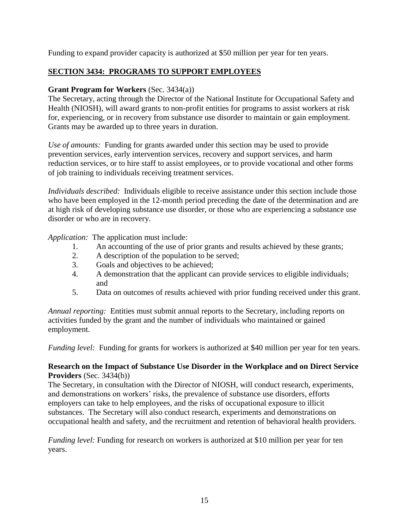Funding to expand provider capacity is authorized at \$50 million per year for ten years.

# **SECTION 3434: PROGRAMS TO SUPPORT EMPLOYEES**

# **Grant Program for Workers** (Sec. 3434(a))

The Secretary, acting through the Director of the National Institute for Occupational Safety and Health (NIOSH), will award grants to non-profit entities for programs to assist workers at risk for, experiencing, or in recovery from substance use disorder to maintain or gain employment. Grants may be awarded up to three years in duration.

*Use of amounts:* Funding for grants awarded under this section may be used to provide prevention services, early intervention services, recovery and support services, and harm reduction services, or to hire staff to assist employees, or to provide vocational and other forms of job training to individuals receiving treatment services.

*Individuals described:* Individuals eligible to receive assistance under this section include those who have been employed in the 12-month period preceding the date of the determination and are at high risk of developing substance use disorder, or those who are experiencing a substance use disorder or who are in recovery.

*Application:* The application must include:

- 1. An accounting of the use of prior grants and results achieved by these grants;
- 2. A description of the population to be served;
- 3. Goals and objectives to be achieved;
- 4. A demonstration that the applicant can provide services to eligible individuals; and
- 5. Data on outcomes of results achieved with prior funding received under this grant.

*Annual reporting:* Entities must submit annual reports to the Secretary, including reports on activities funded by the grant and the number of individuals who maintained or gained employment.

*Funding level:* Funding for grants for workers is authorized at \$40 million per year for ten years.

## **Research on the Impact of Substance Use Disorder in the Workplace and on Direct Service Providers** (Sec. 3434(b))

The Secretary, in consultation with the Director of NIOSH, will conduct research, experiments, and demonstrations on workers' risks, the prevalence of substance use disorders, efforts employers can take to help employees, and the risks of occupational exposure to illicit substances. The Secretary will also conduct research, experiments and demonstrations on occupational health and safety, and the recruitment and retention of behavioral health providers.

*Funding level:* Funding for research on workers is authorized at \$10 million per year for ten years.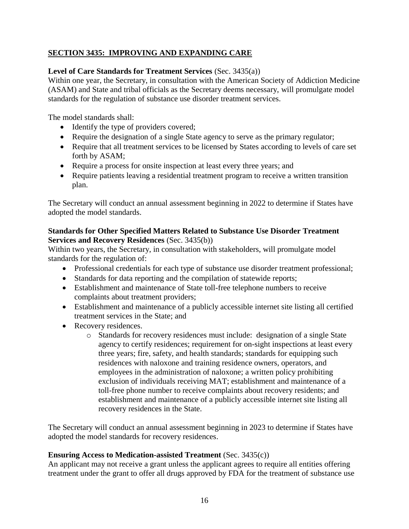# **SECTION 3435: IMPROVING AND EXPANDING CARE**

## **Level of Care Standards for Treatment Services** (Sec. 3435(a))

Within one year, the Secretary, in consultation with the American Society of Addiction Medicine (ASAM) and State and tribal officials as the Secretary deems necessary, will promulgate model standards for the regulation of substance use disorder treatment services.

The model standards shall:

- Identify the type of providers covered;
- Require the designation of a single State agency to serve as the primary regulator;
- Require that all treatment services to be licensed by States according to levels of care set forth by ASAM;
- Require a process for onsite inspection at least every three years; and
- Require patients leaving a residential treatment program to receive a written transition plan.

The Secretary will conduct an annual assessment beginning in 2022 to determine if States have adopted the model standards.

## **Standards for Other Specified Matters Related to Substance Use Disorder Treatment Services and Recovery Residences** (Sec. 3435(b))

Within two years, the Secretary, in consultation with stakeholders, will promulgate model standards for the regulation of:

- Professional credentials for each type of substance use disorder treatment professional;
- Standards for data reporting and the compilation of statewide reports;
- Establishment and maintenance of State toll-free telephone numbers to receive complaints about treatment providers;
- Establishment and maintenance of a publicly accessible internet site listing all certified treatment services in the State; and
- Recovery residences.
	- o Standards for recovery residences must include: designation of a single State agency to certify residences; requirement for on-sight inspections at least every three years; fire, safety, and health standards; standards for equipping such residences with naloxone and training residence owners, operators, and employees in the administration of naloxone; a written policy prohibiting exclusion of individuals receiving MAT; establishment and maintenance of a toll-free phone number to receive complaints about recovery residents; and establishment and maintenance of a publicly accessible internet site listing all recovery residences in the State.

The Secretary will conduct an annual assessment beginning in 2023 to determine if States have adopted the model standards for recovery residences.

## **Ensuring Access to Medication-assisted Treatment** (Sec. 3435(c))

An applicant may not receive a grant unless the applicant agrees to require all entities offering treatment under the grant to offer all drugs approved by FDA for the treatment of substance use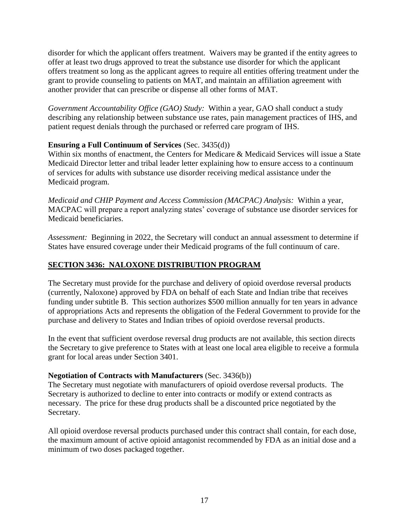disorder for which the applicant offers treatment. Waivers may be granted if the entity agrees to offer at least two drugs approved to treat the substance use disorder for which the applicant offers treatment so long as the applicant agrees to require all entities offering treatment under the grant to provide counseling to patients on MAT, and maintain an affiliation agreement with another provider that can prescribe or dispense all other forms of MAT.

*Government Accountability Office (GAO) Study:* Within a year, GAO shall conduct a study describing any relationship between substance use rates, pain management practices of IHS, and patient request denials through the purchased or referred care program of IHS.

## **Ensuring a Full Continuum of Services** (Sec. 3435(d))

Within six months of enactment, the Centers for Medicare & Medicaid Services will issue a State Medicaid Director letter and tribal leader letter explaining how to ensure access to a continuum of services for adults with substance use disorder receiving medical assistance under the Medicaid program.

*Medicaid and CHIP Payment and Access Commission (MACPAC) Analysis:* Within a year, MACPAC will prepare a report analyzing states' coverage of substance use disorder services for Medicaid beneficiaries.

*Assessment:* Beginning in 2022, the Secretary will conduct an annual assessment to determine if States have ensured coverage under their Medicaid programs of the full continuum of care.

# **SECTION 3436: NALOXONE DISTRIBUTION PROGRAM**

The Secretary must provide for the purchase and delivery of opioid overdose reversal products (currently, Naloxone) approved by FDA on behalf of each State and Indian tribe that receives funding under subtitle B. This section authorizes \$500 million annually for ten years in advance of appropriations Acts and represents the obligation of the Federal Government to provide for the purchase and delivery to States and Indian tribes of opioid overdose reversal products.

In the event that sufficient overdose reversal drug products are not available, this section directs the Secretary to give preference to States with at least one local area eligible to receive a formula grant for local areas under Section 3401.

## **Negotiation of Contracts with Manufacturers** (Sec. 3436(b))

The Secretary must negotiate with manufacturers of opioid overdose reversal products. The Secretary is authorized to decline to enter into contracts or modify or extend contracts as necessary. The price for these drug products shall be a discounted price negotiated by the Secretary.

All opioid overdose reversal products purchased under this contract shall contain, for each dose, the maximum amount of active opioid antagonist recommended by FDA as an initial dose and a minimum of two doses packaged together.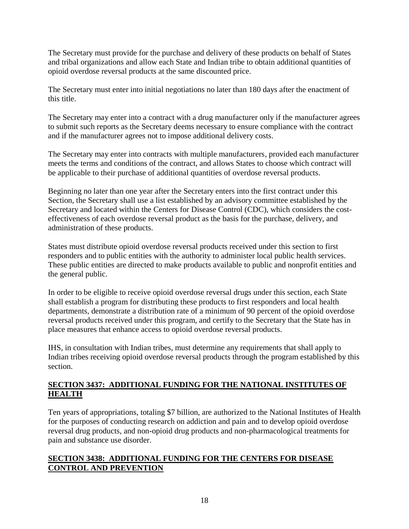The Secretary must provide for the purchase and delivery of these products on behalf of States and tribal organizations and allow each State and Indian tribe to obtain additional quantities of opioid overdose reversal products at the same discounted price.

The Secretary must enter into initial negotiations no later than 180 days after the enactment of this title.

The Secretary may enter into a contract with a drug manufacturer only if the manufacturer agrees to submit such reports as the Secretary deems necessary to ensure compliance with the contract and if the manufacturer agrees not to impose additional delivery costs.

The Secretary may enter into contracts with multiple manufacturers, provided each manufacturer meets the terms and conditions of the contract, and allows States to choose which contract will be applicable to their purchase of additional quantities of overdose reversal products.

Beginning no later than one year after the Secretary enters into the first contract under this Section, the Secretary shall use a list established by an advisory committee established by the Secretary and located within the Centers for Disease Control (CDC), which considers the costeffectiveness of each overdose reversal product as the basis for the purchase, delivery, and administration of these products.

States must distribute opioid overdose reversal products received under this section to first responders and to public entities with the authority to administer local public health services. These public entities are directed to make products available to public and nonprofit entities and the general public.

In order to be eligible to receive opioid overdose reversal drugs under this section, each State shall establish a program for distributing these products to first responders and local health departments, demonstrate a distribution rate of a minimum of 90 percent of the opioid overdose reversal products received under this program, and certify to the Secretary that the State has in place measures that enhance access to opioid overdose reversal products.

IHS, in consultation with Indian tribes, must determine any requirements that shall apply to Indian tribes receiving opioid overdose reversal products through the program established by this section.

## **SECTION 3437: ADDITIONAL FUNDING FOR THE NATIONAL INSTITUTES OF HEALTH**

Ten years of appropriations, totaling \$7 billion, are authorized to the National Institutes of Health for the purposes of conducting research on addiction and pain and to develop opioid overdose reversal drug products, and non-opioid drug products and non-pharmacological treatments for pain and substance use disorder.

## **SECTION 3438: ADDITIONAL FUNDING FOR THE CENTERS FOR DISEASE CONTROL AND PREVENTION**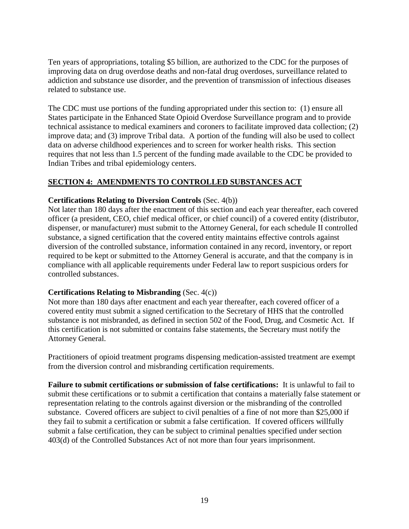Ten years of appropriations, totaling \$5 billion, are authorized to the CDC for the purposes of improving data on drug overdose deaths and non-fatal drug overdoses, surveillance related to addiction and substance use disorder, and the prevention of transmission of infectious diseases related to substance use.

The CDC must use portions of the funding appropriated under this section to: (1) ensure all States participate in the Enhanced State Opioid Overdose Surveillance program and to provide technical assistance to medical examiners and coroners to facilitate improved data collection; (2) improve data; and (3) improve Tribal data. A portion of the funding will also be used to collect data on adverse childhood experiences and to screen for worker health risks. This section requires that not less than 1.5 percent of the funding made available to the CDC be provided to Indian Tribes and tribal epidemiology centers.

## **SECTION 4: AMENDMENTS TO CONTROLLED SUBSTANCES ACT**

## **Certifications Relating to Diversion Controls** (Sec. 4(b))

Not later than 180 days after the enactment of this section and each year thereafter, each covered officer (a president, CEO, chief medical officer, or chief council) of a covered entity (distributor, dispenser, or manufacturer) must submit to the Attorney General, for each schedule II controlled substance, a signed certification that the covered entity maintains effective controls against diversion of the controlled substance, information contained in any record, inventory, or report required to be kept or submitted to the Attorney General is accurate, and that the company is in compliance with all applicable requirements under Federal law to report suspicious orders for controlled substances.

## **Certifications Relating to Misbranding** (Sec. 4(c))

Not more than 180 days after enactment and each year thereafter, each covered officer of a covered entity must submit a signed certification to the Secretary of HHS that the controlled substance is not misbranded, as defined in section 502 of the Food, Drug, and Cosmetic Act. If this certification is not submitted or contains false statements, the Secretary must notify the Attorney General.

Practitioners of opioid treatment programs dispensing medication-assisted treatment are exempt from the diversion control and misbranding certification requirements.

**Failure to submit certifications or submission of false certifications:** It is unlawful to fail to submit these certifications or to submit a certification that contains a materially false statement or representation relating to the controls against diversion or the misbranding of the controlled substance. Covered officers are subject to civil penalties of a fine of not more than \$25,000 if they fail to submit a certification or submit a false certification. If covered officers willfully submit a false certification, they can be subject to criminal penalties specified under section 403(d) of the Controlled Substances Act of not more than four years imprisonment.